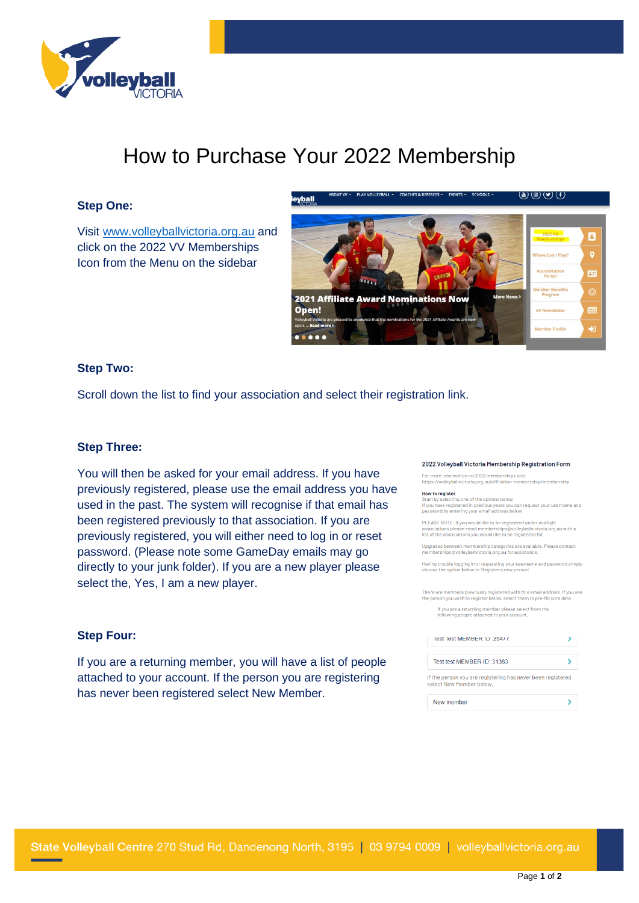

# How to Purchase Your 2022 Membership

### **Step One:**

Visit [www.volleyballvictoria.org.au](http://www.volleyballvictoria.org.au/) and click on the 2022 VV Memberships Icon from the Menu on the sidebar



### **Step Two:**

Scroll down the list to find your association and select their registration link.

### **Step Three:**

You will then be asked for your email address. If you have previously registered, please use the email address you have used in the past. The system will recognise if that email has been registered previously to that association. If you are previously registered, you will either need to log in or reset password. (Please note some GameDay emails may go directly to your junk folder). If you are a new player please select the, Yes, I am a new player.

### 2022 Volleyball Victoria Membership Registration Form

For more information on 2022 memberships visit<br>https://volleyballvictoria.org.au/affiliation-membership/membership

**How to register**<br>Start by selecting one of the options below<br>If you have registered in previous years you c<br>password by entering your email address bel .<br>u can request your usernamı

PLEASE NOTE: If you would like to be registered under multiple.<br>associations please email memberships@vollevballvictoria.c ) be registered under multiple<br>:rships@volleyballvictoria.org.au with a list of the as ociations you would like to be registered for

Upgrades between membership categories are available, Please contact<br>memberships@volleyballvictoria.org.au for assistance.

Having trouble logging in or requesting your username and password simply choose the option below to 'Register a new person'

There are members previously registered with this email address, If you see<br>the person you wish to register below, select them to pre-fill core data,

If you are a returning member please select from the<br>following people attached to your account.

| Test Test MEMBER ID: 25477 |  |
|----------------------------|--|
| Test test MEMBER ID: 31383 |  |

select New Member below.



### **Step Four:**

If you are a returning member, you will have a list of people attached to your account. If the person you are registering has never been registered select New Member.

State Volleyball Centre 270 Stud Rd, Dandenong North, 3195 | 03 9794 0009 | volleyballvictoria.org.au